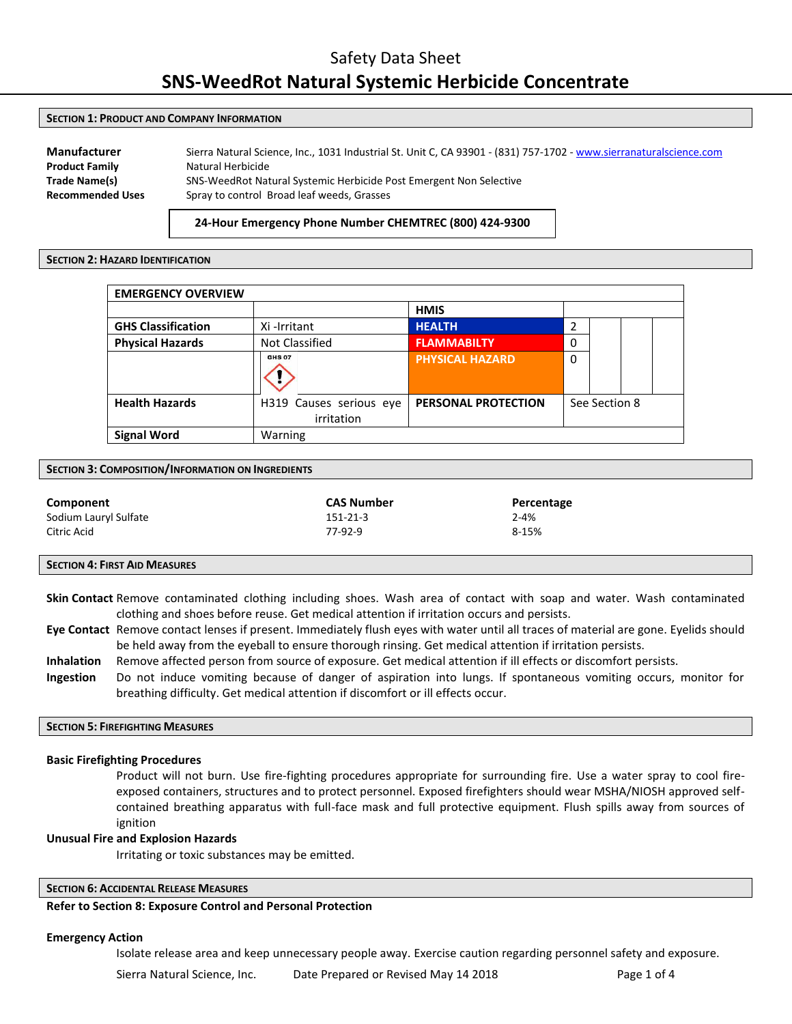#### **SECTION 1: PRODUCT AND COMPANY INFORMATION**

**Manufacturer** Sierra Natural Science, Inc., 1031 Industrial St. Unit C, CA 93901 - (831) 757-1702 [- www.sierranaturalscience.com](http://www.sierranaturalscience.com/) **Product Family** Natural Herbicide **Trade Name(s)** SNS-WeedRot Natural Systemic Herbicide Post Emergent Non Selective **Recommended Uses** Spray to control Broad leaf weeds, Grasses

## **24-Hour Emergency Phone Number CHEMTREC (800) 424-9300**

#### **SECTION 2: HAZARD IDENTIFICATION**

| <b>EMERGENCY OVERVIEW</b> |                                       |                            |               |  |  |
|---------------------------|---------------------------------------|----------------------------|---------------|--|--|
|                           |                                       | <b>HMIS</b>                |               |  |  |
| <b>GHS Classification</b> | Xi-Irritant                           | <b>HEALTH</b>              | 2             |  |  |
| <b>Physical Hazards</b>   | Not Classified                        | <b>FLAMMABILTY</b>         | 0             |  |  |
|                           | <b>GHS 07</b>                         | <b>PHYSICAL HAZARD</b>     | $\mathbf{0}$  |  |  |
| <b>Health Hazards</b>     | H319 Causes serious eye<br>irritation | <b>PERSONAL PROTECTION</b> | See Section 8 |  |  |
| <b>Signal Word</b>        | Warning                               |                            |               |  |  |

#### **SECTION 3: COMPOSITION/INFORMATION ON INGREDIENTS**

| Component             | <b>CAS Number</b> | Percentage |
|-----------------------|-------------------|------------|
| Sodium Lauryl Sulfate | 151-21-3          | $2 - 4%$   |
| Citric Acid           | 77-92-9           | 8-15%      |

#### **SECTION 4: FIRST AID MEASURES**

**Skin Contact** Remove contaminated clothing including shoes. Wash area of contact with soap and water. Wash contaminated clothing and shoes before reuse. Get medical attention if irritation occurs and persists.

- **Eye Contact** Remove contact lenses if present. Immediately flush eyes with water until all traces of material are gone. Eyelids should be held away from the eyeball to ensure thorough rinsing. Get medical attention if irritation persists.
- **Inhalation** Remove affected person from source of exposure. Get medical attention if ill effects or discomfort persists.
- **Ingestion** Do not induce vomiting because of danger of aspiration into lungs. If spontaneous vomiting occurs, monitor for breathing difficulty. Get medical attention if discomfort or ill effects occur.

# **SECTION 5: FIREFIGHTING MEASURES**

#### **Basic Firefighting Procedures**

Product will not burn. Use fire-fighting procedures appropriate for surrounding fire. Use a water spray to cool fireexposed containers, structures and to protect personnel. Exposed firefighters should wear MSHA/NIOSH approved selfcontained breathing apparatus with full-face mask and full protective equipment. Flush spills away from sources of ignition

#### **Unusual Fire and Explosion Hazards**

Irritating or toxic substances may be emitted.

# **SECTION 6: ACCIDENTAL RELEASE MEASURES**

# **Refer to Section 8: Exposure Control and Personal Protection**

#### **Emergency Action**

Isolate release area and keep unnecessary people away. Exercise caution regarding personnel safety and exposure.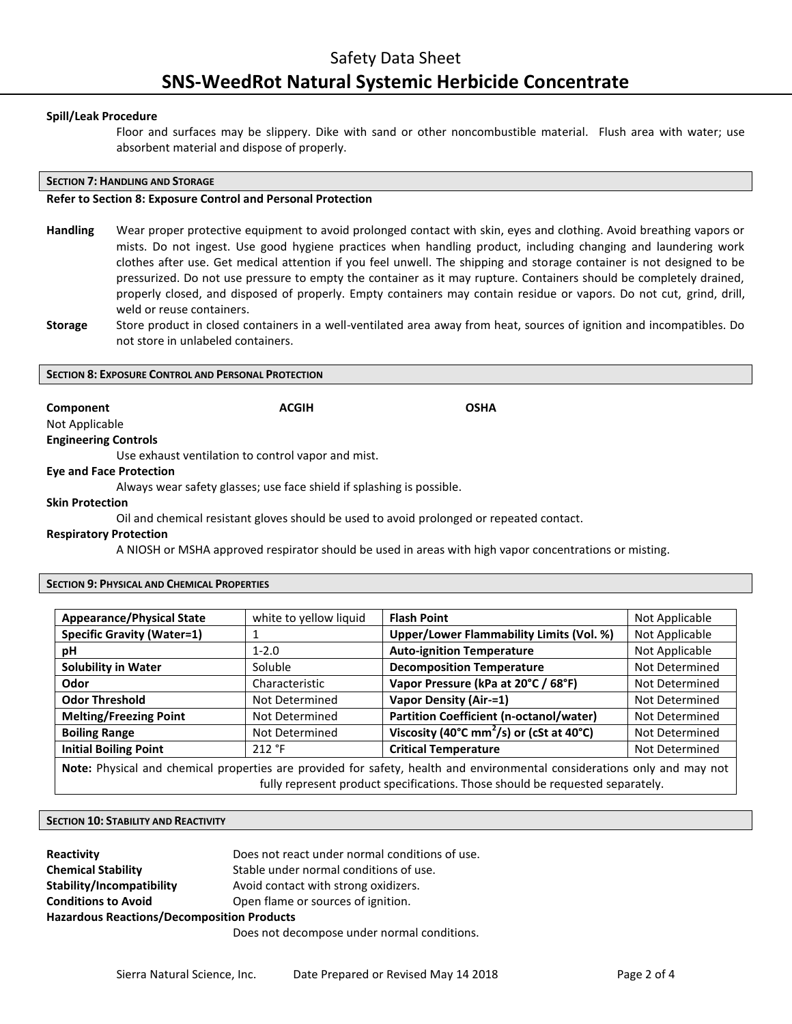# **Spill/Leak Procedure**

Floor and surfaces may be slippery. Dike with sand or other noncombustible material. Flush area with water; use absorbent material and dispose of properly.

## **SECTION 7: HANDLING AND STORAGE**

# **Refer to Section 8: Exposure Control and Personal Protection**

- **Handling** Wear proper protective equipment to avoid prolonged contact with skin, eyes and clothing. Avoid breathing vapors or mists. Do not ingest. Use good hygiene practices when handling product, including changing and laundering work clothes after use. Get medical attention if you feel unwell. The shipping and storage container is not designed to be pressurized. Do not use pressure to empty the container as it may rupture. Containers should be completely drained, properly closed, and disposed of properly. Empty containers may contain residue or vapors. Do not cut, grind, drill, weld or reuse containers.
- **Storage** Store product in closed containers in a well-ventilated area away from heat, sources of ignition and incompatibles. Do not store in unlabeled containers.

#### **SECTION 8: EXPOSURE CONTROL AND PERSONAL PROTECTION**

**Component Component ACGIH COMPONENT ACGIN** 

# Not Applicable **Engineering Controls**

Use exhaust ventilation to control vapor and mist.

## **Eye and Face Protection**

Always wear safety glasses; use face shield if splashing is possible.

# **Skin Protection**

Oil and chemical resistant gloves should be used to avoid prolonged or repeated contact.

# **Respiratory Protection**

A NIOSH or MSHA approved respirator should be used in areas with high vapor concentrations or misting.

## **SECTION 9: PHYSICAL AND CHEMICAL PROPERTIES**

| <b>Appearance/Physical State</b>                                                                                         | white to yellow liquid | <b>Flash Point</b>                                   | Not Applicable |
|--------------------------------------------------------------------------------------------------------------------------|------------------------|------------------------------------------------------|----------------|
| <b>Specific Gravity (Water=1)</b>                                                                                        |                        | <b>Upper/Lower Flammability Limits (Vol. %)</b>      | Not Applicable |
| рH                                                                                                                       | $1 - 2.0$              | <b>Auto-ignition Temperature</b>                     | Not Applicable |
| <b>Solubility in Water</b>                                                                                               | Soluble                | <b>Decomposition Temperature</b>                     | Not Determined |
| Odor                                                                                                                     | Characteristic         | Vapor Pressure (kPa at 20°C / 68°F)                  | Not Determined |
| <b>Odor Threshold</b>                                                                                                    | Not Determined         | <b>Vapor Density (Air-=1)</b>                        | Not Determined |
| <b>Melting/Freezing Point</b>                                                                                            | Not Determined         | <b>Partition Coefficient (n-octanol/water)</b>       | Not Determined |
| <b>Boiling Range</b>                                                                                                     | Not Determined         | Viscosity (40°C mm <sup>2</sup> /s) or (cSt at 40°C) | Not Determined |
| <b>Initial Boiling Point</b>                                                                                             | 212 °F                 | <b>Critical Temperature</b>                          | Not Determined |
| Note: Physical and chemical properties are provided for safety, health and environmental considerations only and may not |                        |                                                      |                |
| fully represent product specifications. Those should be requested separately.                                            |                        |                                                      |                |

## **SECTION 10: STABILITY AND REACTIVITY**

| <b>Reactivity</b>                                 | Does not react under normal conditions of use. |  |  |
|---------------------------------------------------|------------------------------------------------|--|--|
| <b>Chemical Stability</b>                         | Stable under normal conditions of use.         |  |  |
| Stability/Incompatibility                         | Avoid contact with strong oxidizers.           |  |  |
| <b>Conditions to Avoid</b>                        | Open flame or sources of ignition.             |  |  |
| <b>Hazardous Reactions/Decomposition Products</b> |                                                |  |  |
|                                                   | Does not decompose under normal conditions.    |  |  |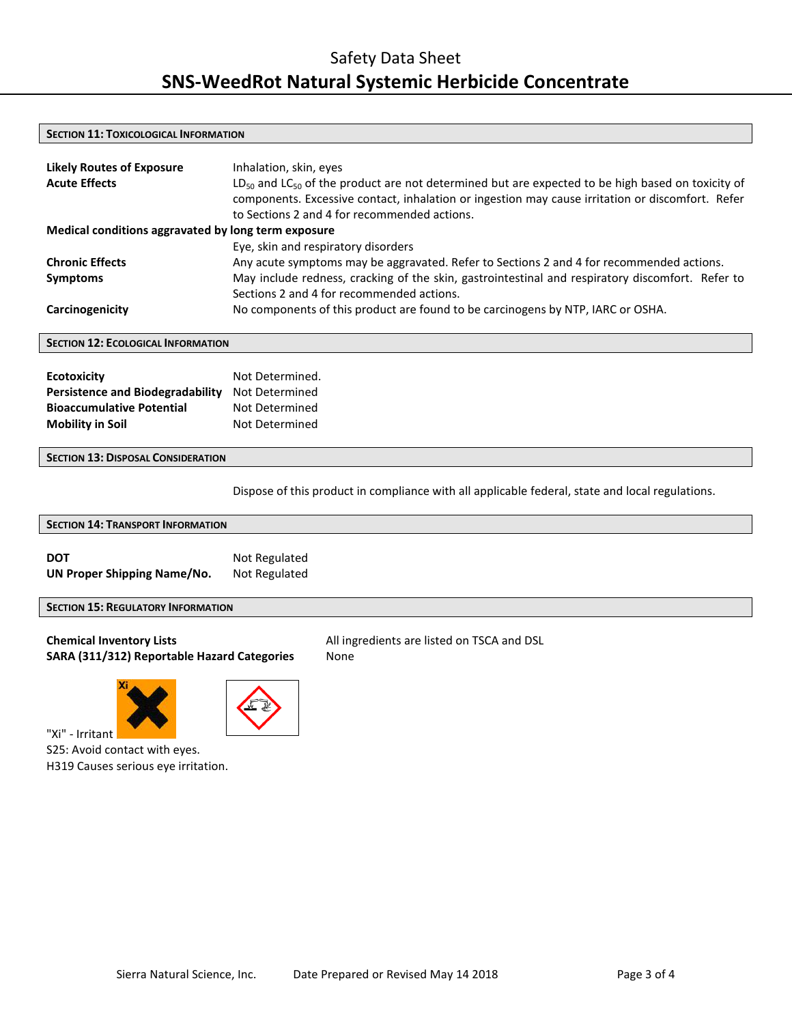## **SECTION 11: TOXICOLOGICAL INFORMATION**

| <b>Likely Routes of Exposure</b><br><b>Acute Effects</b> | Inhalation, skin, eyes<br>$LD_{50}$ and $LC_{50}$ of the product are not determined but are expected to be high based on toxicity of<br>components. Excessive contact, inhalation or ingestion may cause irritation or discomfort. Refer<br>to Sections 2 and 4 for recommended actions. |
|----------------------------------------------------------|------------------------------------------------------------------------------------------------------------------------------------------------------------------------------------------------------------------------------------------------------------------------------------------|
| Medical conditions aggravated by long term exposure      |                                                                                                                                                                                                                                                                                          |
|                                                          | Eye, skin and respiratory disorders                                                                                                                                                                                                                                                      |
| <b>Chronic Effects</b>                                   | Any acute symptoms may be aggravated. Refer to Sections 2 and 4 for recommended actions.                                                                                                                                                                                                 |
| <b>Symptoms</b>                                          | May include redness, cracking of the skin, gastrointestinal and respiratory discomfort. Refer to                                                                                                                                                                                         |
|                                                          | Sections 2 and 4 for recommended actions.                                                                                                                                                                                                                                                |
| Carcinogenicity                                          | No components of this product are found to be carcinogens by NTP, IARC or OSHA.                                                                                                                                                                                                          |

# **SECTION 12: ECOLOGICAL INFORMATION**

| <b>Ecotoxicity</b>                      | Not Determined. |
|-----------------------------------------|-----------------|
| <b>Persistence and Biodegradability</b> | Not Determined  |
| <b>Bioaccumulative Potential</b>        | Not Determined  |
| <b>Mobility in Soil</b>                 | Not Determined  |

## **SECTION 13: DISPOSAL CONSIDERATION**

Dispose of this product in compliance with all applicable federal, state and local regulations.

# **SECTION 14: TRANSPORT INFORMATION DOT** Not Regulated **UN Proper Shipping Name/No.** Not Regulated

# **SECTION 15: REGULATORY INFORMATION**

# **Chemical Inventory Lists** All ingredients are listed on TSCA and DSL SARA (311/312) Reportable Hazard Categories None





"Xi" - Irritant

S25: Avoid contact with eyes. H319 Causes serious eye irritation.